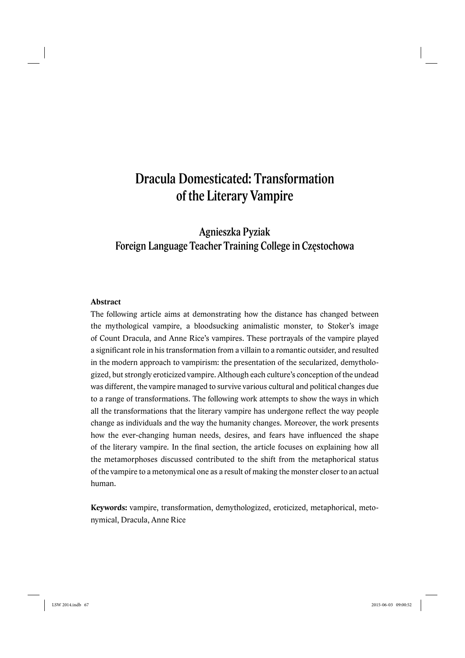# Dracula Domesticated: Transformation of the Literary Vampire

Agnieszka Pyziak Foreign Language Teacher Training College in Częstochowa

### **Abstract**

The following article aims at demonstrating how the distance has changed between the mythological vampire, a bloodsucking animalistic monster, to Stoker's image of Count Dracula, and Anne Rice's vampires. These portrayals of the vampire played a significant role in his transformation from a villain to a romantic outsider, and resulted in the modern approach to vampirism: the presentation of the secularized, demythologized, but strongly eroticized vampire. Although each culture's conception of the undead was different, the vampire managed to survive various cultural and political changes due to a range of transformations. The following work attempts to show the ways in which all the transformations that the literary vampire has undergone reflect the way people change as individuals and the way the humanity changes. Moreover, the work presents how the ever-changing human needs, desires, and fears have influenced the shape of the literary vampire. In the final section, the article focuses on explaining how all the metamorphoses discussed contributed to the shift from the metaphorical status of the vampire to a metonymical one as a result of making the monster closer to an actual human.

**Keywords:** vampire, transformation, demythologized, eroticized, metaphorical, metonymical, Dracula, Anne Rice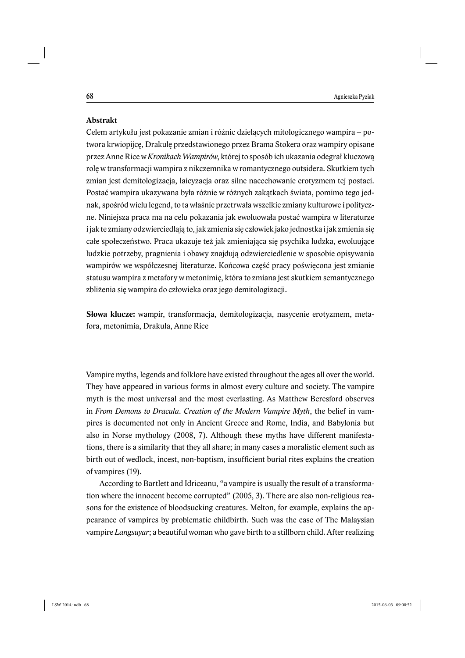### **Abstrakt**

Celem artykułu jest pokazanie zmian i różnic dzielących mitologicznego wampira – potwora krwiopijcę, Drakulę przedstawionego przez Brama Stokera oraz wampiry opisane przez Anne Rice w *Kronikach Wampirów*, której to sposób ich ukazania odegrał kluczową rolę w transformacji wampira z nikczemnika w romantycznego outsidera. Skutkiem tych zmian jest demitologizacja, laicyzacja oraz silne nacechowanie erotyzmem tej postaci. Postać wampira ukazywana była różnie w różnych zakątkach świata, pomimo tego jednak, spośród wielu legend, to ta właśnie przetrwała wszelkie zmiany kulturowe i polityczne. Niniejsza praca ma na celu pokazania jak ewoluowała postać wampira w literaturze i jak te zmiany odzwierciedlają to, jak zmienia się człowiek jako jednostka i jak zmienia się całe społeczeństwo. Praca ukazuje też jak zmieniająca się psychika ludzka, ewoluujące ludzkie potrzeby, pragnienia i obawy znajdują odzwierciedlenie w sposobie opisywania wampirów we współczesnej literaturze. Końcowa część pracy poświęcona jest zmianie statusu wampira z metafory w metonimię, która to zmiana jest skutkiem semantycznego zbliżenia się wampira do człowieka oraz jego demitologizacji.

**Słowa klucze:** wampir, transformacja, demitologizacja, nasycenie erotyzmem, metafora, metonimia, Drakula, Anne Rice

Vampire myths, legends and folklore have existed throughout the ages all over the world. They have appeared in various forms in almost every culture and society. The vampire myth is the most universal and the most everlasting. As Matthew Beresford observes in *From Demons to Dracula. Creation of the Modern Vampire Myth*, the belief in vampires is documented not only in Ancient Greece and Rome, India, and Babylonia but also in Norse mythology (2008, 7). Although these myths have different manifestations, there is a similarity that they all share; in many cases a moralistic element such as birth out of wedlock, incest, non-baptism, insufficient burial rites explains the creation of vampires (19).

According to Bartlett and Idriceanu, "a vampire is usually the result of a transformation where the innocent become corrupted" (2005, 3). There are also non-religious reasons for the existence of bloodsucking creatures. Melton, for example, explains the appearance of vampires by problematic childbirth. Such was the case of The Malaysian vampire *Langsuyar*; a beautiful woman who gave birth to a stillborn child. After realizing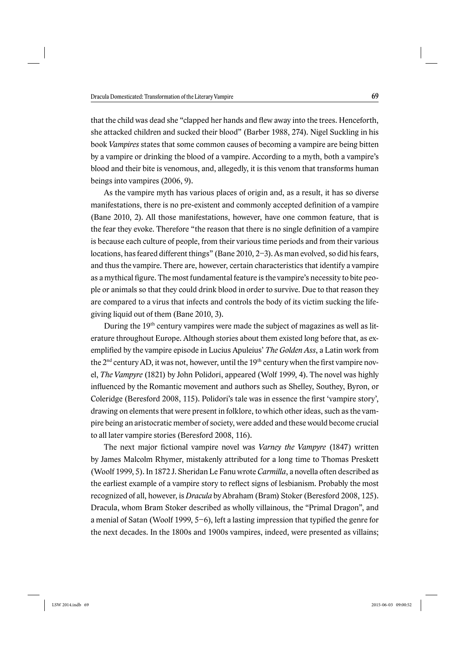that the child was dead she "clapped her hands and flew away into the trees. Henceforth, she attacked children and sucked their blood" (Barber 1988, 274). Nigel Suckling in his book *Vampires* states that some common causes of becoming a vampire are being bitten by a vampire or drinking the blood of a vampire. According to a myth, both a vampire's blood and their bite is venomous, and, allegedly, it is this venom that transforms human beings into vampires (2006, 9).

As the vampire myth has various places of origin and, as a result, it has so diverse manifestations, there is no pre-existent and commonly accepted definition of a vampire (Bane 2010, 2). All those manifestations, however, have one common feature, that is the fear they evoke. Therefore "the reason that there is no single definition of a vampire is because each culture of people, from their various time periods and from their various locations, has feared different things" (Bane 2010, 2–3). As man evolved, so did his fears, and thus the vampire. There are, however, certain characteristics that identify a vampire as a mythical figure. The most fundamental feature is the vampire's necessity to bite people or animals so that they could drink blood in order to survive. Due to that reason they are compared to a virus that infects and controls the body of its victim sucking the lifegiving liquid out of them (Bane 2010, 3).

During the 19<sup>th</sup> century vampires were made the subject of magazines as well as literature throughout Europe. Although stories about them existed long before that, as exemplified by the vampire episode in Lucius Apuleius' *The Golden Ass*, a Latin work from the  $2<sup>nd</sup>$  century AD, it was not, however, until the  $19<sup>th</sup>$  century when the first vampire novel, *The Vampyre* (1821) by John Polidori, appeared (Wolf 1999, 4). The novel was highly influenced by the Romantic movement and authors such as Shelley, Southey, Byron, or Coleridge (Beresford 2008, 115). Polidori's tale was in essence the first 'vampire story'. drawing on elements that were present in folklore, to which other ideas, such as the vampire being an aristocratic member of society, were added and these would become crucial to all later vampire stories (Beresford 2008, 116).

The next major fictional vampire novel was *Varney the Vampyre* (1847) written by James Malcolm Rhymer, mistakenly attributed for a long time to Thomas Preskett (Woolf 1999, 5). In 1872 J. Sheridan Le Fanu wrote *Carmilla*, a novella often described as the earliest example of a vampire story to reflect signs of lesbianism. Probably the most recognized of all, however, is *Dracula* by Abraham (Bram) Stoker (Beresford 2008, 125). Dracula, whom Bram Stoker described as wholly villainous, the "Primal Dragon", and a menial of Satan (Woolf 1999,  $5-6$ ), left a lasting impression that typified the genre for the next decades. In the 1800s and 1900s vampires, indeed, were presented as villains;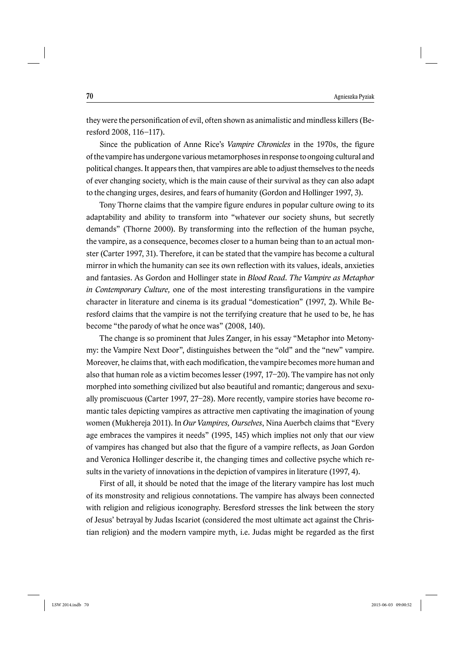they were the personification of evil, often shown as animalistic and mindless killers (Beresford 2008, 116–117).

Since the publication of Anne Rice's *Vampire Chronicles* in the 1970s, the figure of the vampire has undergone various metamorphoses in response to ongoing cultural and political changes. It appears then, that vampires are able to adjust themselves to the needs of ever changing society, which is the main cause of their survival as they can also adapt to the changing urges, desires, and fears of humanity (Gordon and Hollinger 1997, 3).

Tony Thorne claims that the vampire figure endures in popular culture owing to its adaptability and ability to transform into "whatever our society shuns, but secretly demands" (Thorne 2000). By transforming into the reflection of the human psyche, the vampire, as a consequence, becomes closer to a human being than to an actual monster (Carter 1997, 31). Therefore, it can be stated that the vampire has become a cultural mirror in which the humanity can see its own reflection with its values, ideals, anxieties and fantasies. As Gordon and Hollinger state in *Blood Read. The Vampire as Metaphor in Contemporary Culture*, one of the most interesting transfigurations in the vampire character in literature and cinema is its gradual "domestication" (1997, 2). While Beresford claims that the vampire is not the terrifying creature that he used to be, he has become "the parody of what he once was" (2008, 140).

The change is so prominent that Jules Zanger, in his essay "Metaphor into Metonymy: the Vampire Next Door", distinguishes between the "old" and the "new" vampire. Moreover, he claims that, with each modification, the vampire becomes more human and also that human role as a victim becomes lesser (1997, 17–20). The vampire has not only morphed into something civilized but also beautiful and romantic; dangerous and sexually promiscuous (Carter 1997, 27–28). More recently, vampire stories have become romantic tales depicting vampires as attractive men captivating the imagination of young women (Mukhereja 2011). In *Our Vampires, Ourselves*, Nina Auerbch claims that "Every age embraces the vampires it needs" (1995, 145) which implies not only that our view of vampires has changed but also that the figure of a vampire reflects, as Joan Gordon and Veronica Hollinger describe it, the changing times and collective psyche which results in the variety of innovations in the depiction of vampires in literature (1997, 4).

First of all, it should be noted that the image of the literary vampire has lost much of its monstrosity and religious connotations. The vampire has always been connected with religion and religious iconography. Beresford stresses the link between the story of Jesus' betrayal by Judas Iscariot (considered the most ultimate act against the Christian religion) and the modern vampire myth, i.e. Judas might be regarded as the first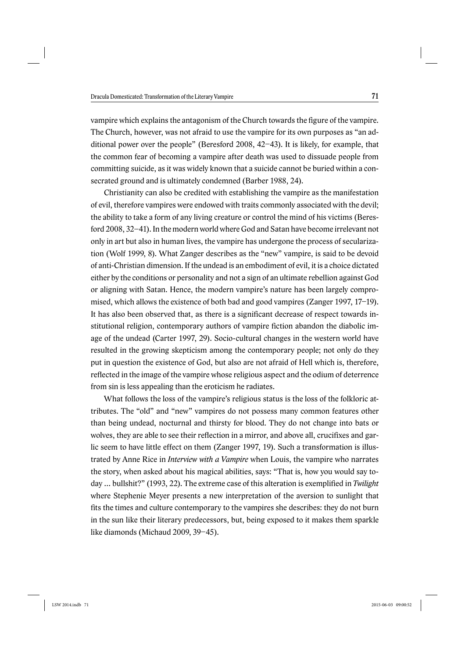vampire which explains the antagonism of the Church towards the figure of the vampire. The Church, however, was not afraid to use the vampire for its own purposes as "an additional power over the people" (Beresford 2008, 42–43). It is likely, for example, that the common fear of becoming a vampire after death was used to dissuade people from committing suicide, as it was widely known that a suicide cannot be buried within a consecrated ground and is ultimately condemned (Barber 1988, 24).

Christianity can also be credited with establishing the vampire as the manifestation of evil, therefore vampires were endowed with traits commonly associated with the devil; the ability to take a form of any living creature or control the mind of his victims (Beresford 2008, 32–41). In the modern world where God and Satan have become irrelevant not only in art but also in human lives, the vampire has undergone the process of secularization (Wolf 1999, 8). What Zanger describes as the "new" vampire, is said to be devoid of anti-Christian dimension. If the undead is an embodiment of evil, it is a choice dictated either by the conditions or personality and not a sign of an ultimate rebellion against God or aligning with Satan. Hence, the modern vampire's nature has been largely compromised, which allows the existence of both bad and good vampires (Zanger 1997, 17–19). It has also been observed that, as there is a significant decrease of respect towards institutional religion, contemporary authors of vampire fiction abandon the diabolic image of the undead (Carter 1997, 29). Socio-cultural changes in the western world have resulted in the growing skepticism among the contemporary people; not only do they put in question the existence of God, but also are not afraid of Hell which is, therefore, reflected in the image of the vampire whose religious aspect and the odium of deterrence from sin is less appealing than the eroticism he radiates.

What follows the loss of the vampire's religious status is the loss of the folkloric attributes. The "old" and "new" vampires do not possess many common features other than being undead, nocturnal and thirsty for blood. They do not change into bats or wolves, they are able to see their reflection in a mirror, and above all, crucifixes and garlic seem to have little effect on them (Zanger 1997, 19). Such a transformation is illustrated by Anne Rice in *Interview with a Vampire* when Louis, the vampire who narrates the story, when asked about his magical abilities, says: "That is, how you would say today ... bullshit?" (1993, 22). The extreme case of this alteration is exemplified in *Twilight* where Stephenie Meyer presents a new interpretation of the aversion to sunlight that fits the times and culture contemporary to the vampires she describes: they do not burn in the sun like their literary predecessors, but, being exposed to it makes them sparkle like diamonds (Michaud 2009, 39–45).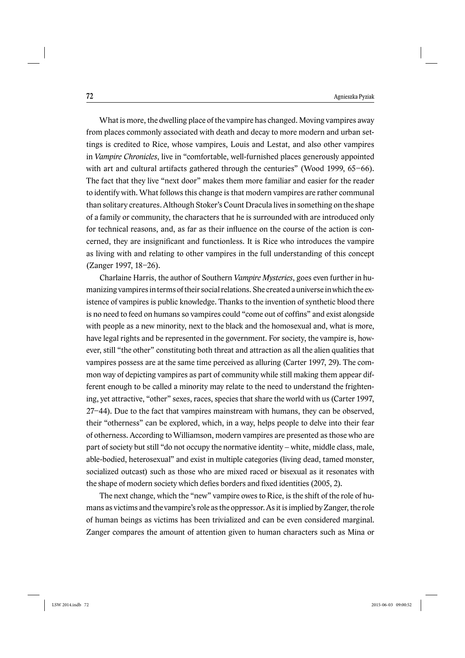What is more, the dwelling place of the vampire has changed. Moving vampires away from places commonly associated with death and decay to more modern and urban settings is credited to Rice, whose vampires, Louis and Lestat, and also other vampires in *Vampire Chronicles*, live in "comfortable, well-furnished places generously appointed with art and cultural artifacts gathered through the centuries" (Wood 1999, 65–66). The fact that they live "next door" makes them more familiar and easier for the reader to identify with. What follows this change is that modern vampires are rather communal than solitary creatures. Although Stoker's Count Dracula lives in something on the shape of a family or community, the characters that he is surrounded with are introduced only for technical reasons, and, as far as their influence on the course of the action is concerned, they are insignificant and functionless. It is Rice who introduces the vampire as living with and relating to other vampires in the full understanding of this concept (Zanger 1997, 18–26).

Charlaine Harris, the author of Southern *Vampire Mysteries*, goes even further in humanizing vampires in terms of their social relations. She created a universe in which the existence of vampires is public knowledge. Thanks to the invention of synthetic blood there is no need to feed on humans so vampires could "come out of coffins" and exist alongside with people as a new minority, next to the black and the homosexual and, what is more, have legal rights and be represented in the government. For society, the vampire is, however, still "the other" constituting both threat and attraction as all the alien qualities that vampires possess are at the same time perceived as alluring (Carter 1997, 29). The common way of depicting vampires as part of community while still making them appear different enough to be called a minority may relate to the need to understand the frightening, yet attractive, "other" sexes, races, species that share the world with us (Carter 1997, 27–44). Due to the fact that vampires mainstream with humans, they can be observed, their "otherness" can be explored, which, in a way, helps people to delve into their fear of otherness. According to Williamson, modern vampires are presented as those who are part of society but still "do not occupy the normative identity – white, middle class, male, able-bodied, heterosexual" and exist in multiple categories (living dead, tamed monster, socialized outcast) such as those who are mixed raced or bisexual as it resonates with the shape of modern society which defies borders and fixed identities (2005, 2).

The next change, which the "new" vampire owes to Rice, is the shift of the role of humans as victims and the vampire's role as the oppressor. As it is implied by Zanger, the role of human beings as victims has been trivialized and can be even considered marginal. Zanger compares the amount of attention given to human characters such as Mina or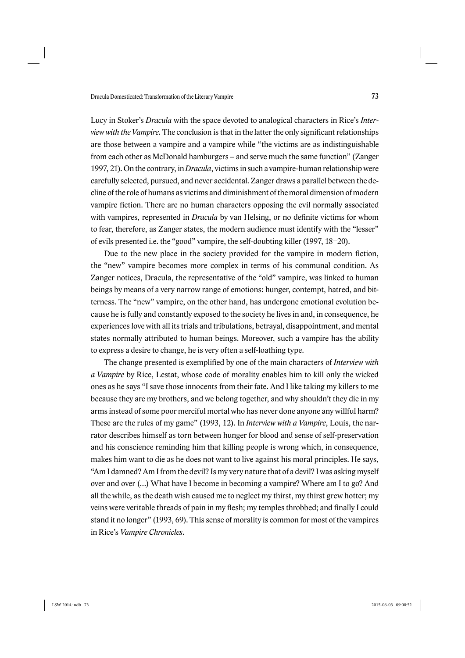Lucy in Stoker's *Dracula* with the space devoted to analogical characters in Rice's *Interview with the Vampire*. The conclusion is that in the latter the only significant relationships are those between a vampire and a vampire while "the victims are as indistinguishable from each other as McDonald hamburgers – and serve much the same function" (Zanger 1997, 21). On the contrary, in *Dracula*, victims in such a vampire-human relationship were carefully selected, pursued, and never accidental. Zanger draws a parallel between the decline of the role of humans as victims and diminishment of the moral dimension of modern vampire fiction. There are no human characters opposing the evil normally associated with vampires, represented in *Dracula* by van Helsing, or no definite victims for whom to fear, therefore, as Zanger states, the modern audience must identify with the "lesser" of evils presented i.e. the "good" vampire, the self-doubting killer (1997, 18–20).

Due to the new place in the society provided for the vampire in modern fiction, the "new" vampire becomes more complex in terms of his communal condition. As Zanger notices, Dracula, the representative of the "old" vampire, was linked to human beings by means of a very narrow range of emotions: hunger, contempt, hatred, and bitterness. The "new" vampire, on the other hand, has undergone emotional evolution because he is fully and constantly exposed to the society he lives in and, in consequence, he experiences love with all its trials and tribulations, betrayal, disappointment, and mental states normally attributed to human beings. Moreover, such a vampire has the ability to express a desire to change, he is very often a self-loathing type.

The change presented is exemplified by one of the main characters of *Interview with a Vampire* by Rice, Lestat, whose code of morality enables him to kill only the wicked ones as he says "I save those innocents from their fate. And I like taking my killers to me because they are my brothers, and we belong together, and why shouldn't they die in my arms instead of some poor merciful mortal who has never done anyone any willful harm? These are the rules of my game" (1993, 12). In *Interview with a Vampire*, Louis, the narrator describes himself as torn between hunger for blood and sense of self-preservation and his conscience reminding him that killing people is wrong which, in consequence, makes him want to die as he does not want to live against his moral principles. He says, "Am I damned? Am I from the devil? Is my very nature that of a devil? I was asking myself over and over (…) What have I become in becoming a vampire? Where am I to go? And all the while, as the death wish caused me to neglect my thirst, my thirst grew hotter; my veins were veritable threads of pain in my flesh; my temples throbbed; and finally I could stand it no longer" (1993, 69). This sense of morality is common for most of the vampires in Rice's *Vampire Chronicles*.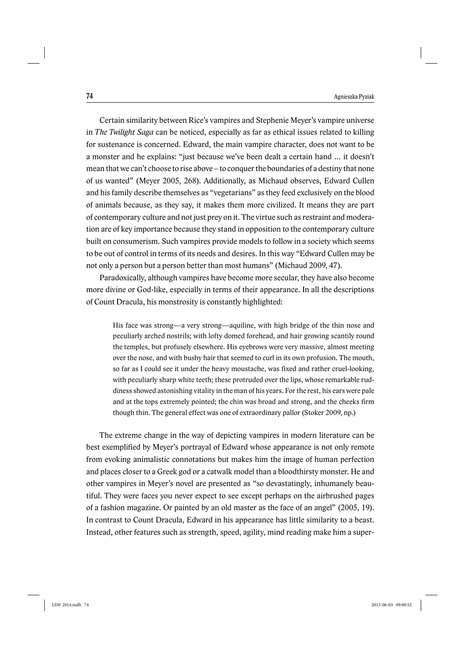Certain similarity between Rice's vampires and Stephenie Meyer's vampire universe in *The Twilight Saga* can be noticed, especially as far as ethical issues related to killing for sustenance is concerned. Edward, the main vampire character, does not want to be a monster and he explains: "just because we've been dealt a certain hand … it doesn't mean that we can't choose to rise above – to conquer the boundaries of a destiny that none of us wanted" (Meyer 2005, 268). Additionally, as Michaud observes, Edward Cullen and his family describe themselves as "vegetarians" as they feed exclusively on the blood of animals because, as they say, it makes them more civilized. It means they are part of contemporary culture and not just prey on it. The virtue such as restraint and moderation are of key importance because they stand in opposition to the contemporary culture built on consumerism. Such vampires provide models to follow in a society which seems to be out of control in terms of its needs and desires. In this way "Edward Cullen may be not only a person but a person better than most humans" (Michaud 2009, 47).

Paradoxically, although vampires have become more secular, they have also become more divine or God-like, especially in terms of their appearance. In all the descriptions of Count Dracula, his monstrosity is constantly highlighted:

His face was strong—a very strong—aquiline, with high bridge of the thin nose and peculiarly arched nostrils; with lofty domed forehead, and hair growing scantily round the temples, but profusely elsewhere. His eyebrows were very massive, almost meeting over the nose, and with bushy hair that seemed to curl in its own profusion. The mouth, so far as I could see it under the heavy moustache, was fixed and rather cruel-looking, with peculiarly sharp white teeth; these protruded over the lips, whose remarkable ruddiness showed astonishing vitality in the man of his years. For the rest, his ears were pale and at the tops extremely pointed; the chin was broad and strong, and the cheeks firm though thin. The general effect was one of extraordinary pallor (Stoker 2009, np.)

The extreme change in the way of depicting vampires in modern literature can be best exemplified by Meyer's portrayal of Edward whose appearance is not only remote from evoking animalistic connotations but makes him the image of human perfection and places closer to a Greek god or a catwalk model than a bloodthirsty monster. He and other vampires in Meyer's novel are presented as "so devastatingly, inhumanely beautiful. They were faces you never expect to see except perhaps on the airbrushed pages of a fashion magazine. Or painted by an old master as the face of an angel" (2005, 19). In contrast to Count Dracula, Edward in his appearance has little similarity to a beast. Instead, other features such as strength, speed, agility, mind reading make him a super-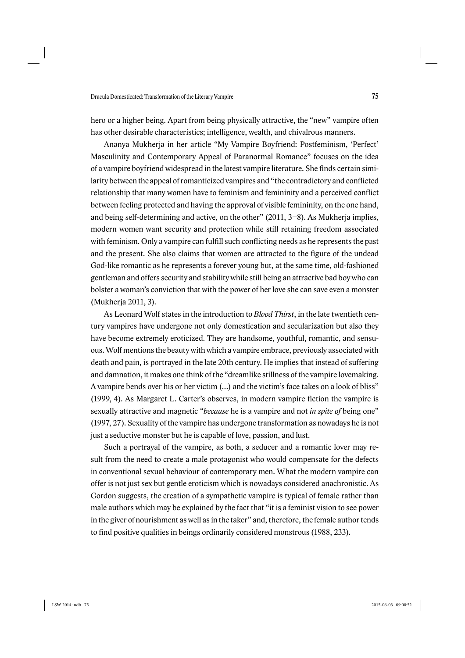hero or a higher being. Apart from being physically attractive, the "new" vampire often has other desirable characteristics; intelligence, wealth, and chivalrous manners.

Ananya Mukherja in her article "My Vampire Boyfriend: Postfeminism, 'Perfect' Masculinity and Contemporary Appeal of Paranormal Romance" focuses on the idea of a vampire boyfriend widespread in the latest vampire literature. She finds certain similarity between the appeal of romanticized vampires and "the contradictory and conflicted relationship that many women have to feminism and femininity and a perceived conflict between feeling protected and having the approval of visible femininity, on the one hand, and being self-determining and active, on the other" (2011, 3–8). As Mukherja implies, modern women want security and protection while still retaining freedom associated with feminism. Only a vampire can fulfill such conflicting needs as he represents the past and the present. She also claims that women are attracted to the figure of the undead God-like romantic as he represents a forever young but, at the same time, old-fashioned gentleman and offers security and stability while still being an attractive bad boy who can bolster a woman's conviction that with the power of her love she can save even a monster (Mukherja 2011, 3).

As Leonard Wolf states in the introduction to *Blood Thirst*, in the late twentieth century vampires have undergone not only domestication and secularization but also they have become extremely eroticized. They are handsome, youthful, romantic, and sensuous. Wolf mentions the beauty with which a vampire embrace, previously associated with death and pain, is portrayed in the late 20th century. He implies that instead of suffering and damnation, it makes one think of the "dreamlike stillness of the vampire lovemaking. A vampire bends over his or her victim (…) and the victim's face takes on a look of bliss"  $(1999, 4)$ . As Margaret L. Carter's observes, in modern vampire fiction the vampire is sexually attractive and magnetic "*because* he is a vampire and not *in spite of* being one" (1997, 27). Sexuality of the vampire has undergone transformation as nowadays he is not just a seductive monster but he is capable of love, passion, and lust.

Such a portrayal of the vampire, as both, a seducer and a romantic lover may result from the need to create a male protagonist who would compensate for the defects in conventional sexual behaviour of contemporary men. What the modern vampire can offer is not just sex but gentle eroticism which is nowadays considered anachronistic. As Gordon suggests, the creation of a sympathetic vampire is typical of female rather than male authors which may be explained by the fact that "it is a feminist vision to see power in the giver of nourishment as well as in the taker" and, therefore, the female author tends to find positive qualities in beings ordinarily considered monstrous (1988, 233).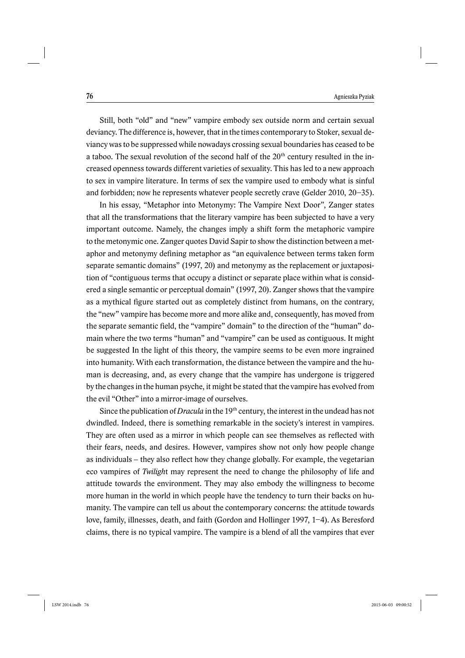Still, both "old" and "new" vampire embody sex outside norm and certain sexual deviancy. The difference is, however, that in the times contemporary to Stoker, sexual deviancy was to be suppressed while nowadays crossing sexual boundaries has ceased to be a taboo. The sexual revolution of the second half of the 20<sup>th</sup> century resulted in the increased openness towards different varieties of sexuality. This has led to a new approach to sex in vampire literature. In terms of sex the vampire used to embody what is sinful and forbidden; now he represents whatever people secretly crave (Gelder 2010, 20–35).

In his essay, "Metaphor into Metonymy: The Vampire Next Door", Zanger states that all the transformations that the literary vampire has been subjected to have a very important outcome. Namely, the changes imply a shift form the metaphoric vampire to the metonymic one. Zanger quotes David Sapir to show the distinction between a metaphor and metonymy defining metaphor as "an equivalence between terms taken form separate semantic domains" (1997, 20) and metonymy as the replacement or juxtaposition of "contiguous terms that occupy a distinct or separate place within what is considered a single semantic or perceptual domain" (1997, 20). Zanger shows that the vampire as a mythical figure started out as completely distinct from humans, on the contrary, the "new" vampire has become more and more alike and, consequently, has moved from the separate semantic field, the "vampire" domain" to the direction of the "human" domain where the two terms "human" and "vampire" can be used as contiguous. It might be suggested In the light of this theory, the vampire seems to be even more ingrained into humanity. With each transformation, the distance between the vampire and the human is decreasing, and, as every change that the vampire has undergone is triggered by the changes in the human psyche, it might be stated that the vampire has evolved from the evil "Other" into a mirror-image of ourselves.

Since the publication of *Dracula* in the 19<sup>th</sup> century, the interest in the undead has not dwindled. Indeed, there is something remarkable in the society's interest in vampires. They are often used as a mirror in which people can see themselves as reflected with their fears, needs, and desires. However, vampires show not only how people change as individuals  $-$  they also reflect how they change globally. For example, the vegetarian eco vampires of *Twiligh*t may represent the need to change the philosophy of life and attitude towards the environment. They may also embody the willingness to become more human in the world in which people have the tendency to turn their backs on humanity. The vampire can tell us about the contemporary concerns: the attitude towards love, family, illnesses, death, and faith (Gordon and Hollinger 1997, 1–4). As Beresford claims, there is no typical vampire. The vampire is a blend of all the vampires that ever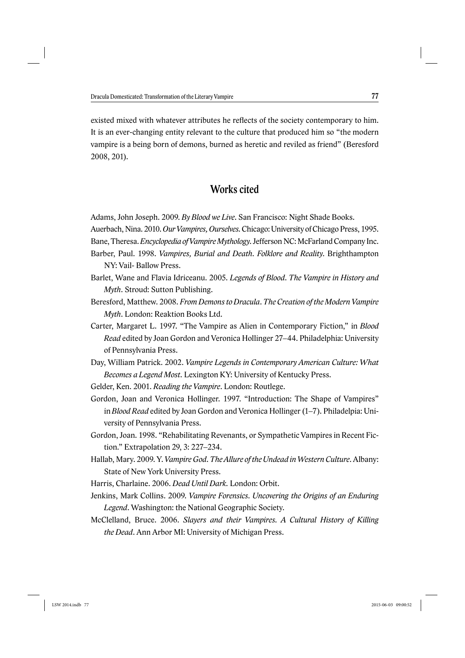existed mixed with whatever attributes he reflects of the society contemporary to him. It is an ever-changing entity relevant to the culture that produced him so "the modern vampire is a being born of demons, burned as heretic and reviled as friend" (Beresford 2008, 201).

## Works cited

Adams, John Joseph. 2009. *By Blood we Live*. San Francisco: Night Shade Books.

- Auerbach, Nina. 2010. *Our Vampires, Ourselves.* Chicago: University of Chicago Press, 1995.
- Bane, Theresa. *Encyclopedia of Vampire Mythology*. Jefferson NC: McFarland Company Inc.
- Barber, Paul. 1998. *Vampires, Burial and Death. Folklore and Reality*. Brighthampton NY: Vail- Ballow Press.
- Barlet, Wane and Flavia Idriceanu. 2005. *Legends of Blood. The Vampire in History and Myth*. Stroud: Sutton Publishing.
- Beresford, Matthew. 2008. *From Demons to Dracula. The Creation of the Modern Vampire Myth*. London: Reaktion Books Ltd.
- Carter, Margaret L. 1997. "The Vampire as Alien in Contemporary Fiction," in *Blood Read* edited by Joan Gordon and Veronica Hollinger 27–44. Philadelphia: University of Pennsylvania Press.
- Day, William Patrick. 2002. *Vampire Legends in Contemporary American Culture: What Becomes a Legend Most.* Lexington KY: University of Kentucky Press.
- Gelder, Ken. 2001. *Reading the Vampire*. London: Routlege.
- Gordon, Joan and Veronica Hollinger. 1997. "Introduction: The Shape of Vampires" in *Blood Read* edited by Joan Gordon and Veronica Hollinger (1–7). Philadelpia: University of Pennsylvania Press.
- Gordon, Joan. 1998. "Rehabilitating Revenants, or Sympathetic Vampires in Recent Fiction." Extrapolation 29, 3: 227–234.
- Hallab, Mary. 2009. Y. *Vampire God. The Allure of the Undead in Western Culture*. Albany: State of New York University Press.
- Harris, Charlaine. 2006. *Dead Until Dark.* London: Orbit.
- Jenkins, Mark Collins. 2009. *Vampire Forensics. Uncovering the Origins of an Enduring Legend*. Washington: the National Geographic Society.
- McClelland, Bruce. 2006. *Slayers and their Vampires. A Cultural History of Killing the Dead*. Ann Arbor MI: University of Michigan Press.